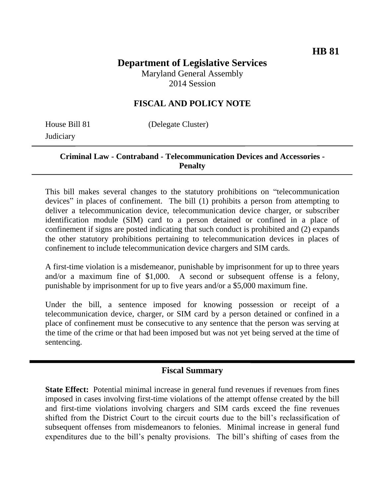#### **Department of Legislative Services** Maryland General Assembly

2014 Session

## **FISCAL AND POLICY NOTE**

**Judiciary** 

House Bill 81 (Delegate Cluster)

#### **Criminal Law - Contraband - Telecommunication Devices and Accessories - Penalty**

This bill makes several changes to the statutory prohibitions on "telecommunication devices" in places of confinement. The bill (1) prohibits a person from attempting to deliver a telecommunication device, telecommunication device charger, or subscriber identification module (SIM) card to a person detained or confined in a place of confinement if signs are posted indicating that such conduct is prohibited and (2) expands the other statutory prohibitions pertaining to telecommunication devices in places of confinement to include telecommunication device chargers and SIM cards.

A first-time violation is a misdemeanor, punishable by imprisonment for up to three years and/or a maximum fine of \$1,000. A second or subsequent offense is a felony, punishable by imprisonment for up to five years and/or a \$5,000 maximum fine.

Under the bill, a sentence imposed for knowing possession or receipt of a telecommunication device, charger, or SIM card by a person detained or confined in a place of confinement must be consecutive to any sentence that the person was serving at the time of the crime or that had been imposed but was not yet being served at the time of sentencing.

### **Fiscal Summary**

**State Effect:** Potential minimal increase in general fund revenues if revenues from fines imposed in cases involving first-time violations of the attempt offense created by the bill and first-time violations involving chargers and SIM cards exceed the fine revenues shifted from the District Court to the circuit courts due to the bill's reclassification of subsequent offenses from misdemeanors to felonies. Minimal increase in general fund expenditures due to the bill's penalty provisions. The bill's shifting of cases from the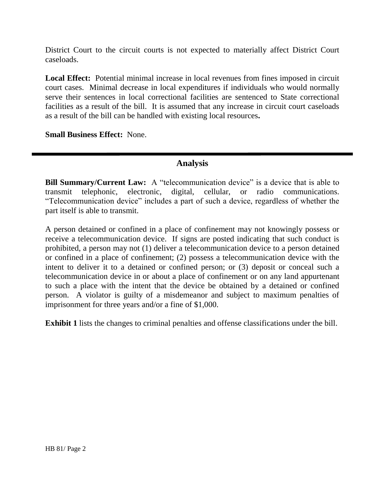District Court to the circuit courts is not expected to materially affect District Court caseloads.

**Local Effect:** Potential minimal increase in local revenues from fines imposed in circuit court cases. Minimal decrease in local expenditures if individuals who would normally serve their sentences in local correctional facilities are sentenced to State correctional facilities as a result of the bill. It is assumed that any increase in circuit court caseloads as a result of the bill can be handled with existing local resources**.**

**Small Business Effect:** None.

# **Analysis**

**Bill Summary/Current Law:** A "telecommunication device" is a device that is able to transmit telephonic, electronic, digital, cellular, or radio communications. "Telecommunication device" includes a part of such a device, regardless of whether the part itself is able to transmit.

A person detained or confined in a place of confinement may not knowingly possess or receive a telecommunication device. If signs are posted indicating that such conduct is prohibited, a person may not (1) deliver a telecommunication device to a person detained or confined in a place of confinement; (2) possess a telecommunication device with the intent to deliver it to a detained or confined person; or (3) deposit or conceal such a telecommunication device in or about a place of confinement or on any land appurtenant to such a place with the intent that the device be obtained by a detained or confined person. A violator is guilty of a misdemeanor and subject to maximum penalties of imprisonment for three years and/or a fine of \$1,000.

**Exhibit 1** lists the changes to criminal penalties and offense classifications under the bill.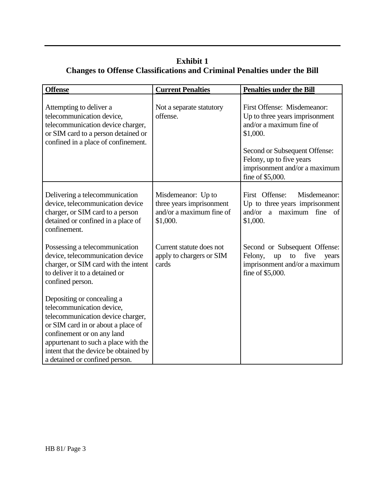# **Exhibit 1 Changes to Offense Classifications and Criminal Penalties under the Bill**

| <b>Offense</b>                                                                                                                                                                                                                                                                      | <b>Current Penalties</b>                                                               | <b>Penalties under the Bill</b>                                                                                                                                                                                         |
|-------------------------------------------------------------------------------------------------------------------------------------------------------------------------------------------------------------------------------------------------------------------------------------|----------------------------------------------------------------------------------------|-------------------------------------------------------------------------------------------------------------------------------------------------------------------------------------------------------------------------|
| Attempting to deliver a<br>telecommunication device,<br>telecommunication device charger,<br>or SIM card to a person detained or<br>confined in a place of confinement.                                                                                                             | Not a separate statutory<br>offense.                                                   | First Offense: Misdemeanor:<br>Up to three years imprisonment<br>and/or a maximum fine of<br>\$1,000.<br>Second or Subsequent Offense:<br>Felony, up to five years<br>imprisonment and/or a maximum<br>fine of \$5,000. |
| Delivering a telecommunication<br>device, telecommunication device<br>charger, or SIM card to a person<br>detained or confined in a place of<br>confinement.                                                                                                                        | Misdemeanor: Up to<br>three years imprisonment<br>and/or a maximum fine of<br>\$1,000. | First Offense:<br>Misdemeanor:<br>Up to three years imprisonment<br>and/or a maximum fine of<br>\$1,000.                                                                                                                |
| Possessing a telecommunication<br>device, telecommunication device<br>charger, or SIM card with the intent<br>to deliver it to a detained or<br>confined person.                                                                                                                    | Current statute does not<br>apply to chargers or SIM<br>cards                          | Second or Subsequent Offense:<br>Felony,<br>five<br>to<br>up<br>years<br>imprisonment and/or a maximum<br>fine of \$5,000.                                                                                              |
| Depositing or concealing a<br>telecommunication device,<br>telecommunication device charger,<br>or SIM card in or about a place of<br>confinement or on any land<br>appurtenant to such a place with the<br>intent that the device be obtained by<br>a detained or confined person. |                                                                                        |                                                                                                                                                                                                                         |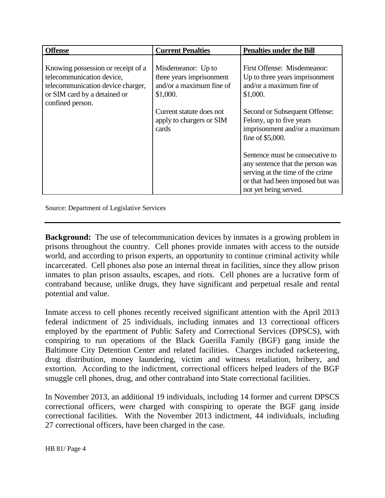| <b>Offense</b>                                                                                                                                           | <b>Current Penalties</b>                                                               | <b>Penalties under the Bill</b>                                                                                                                                      |
|----------------------------------------------------------------------------------------------------------------------------------------------------------|----------------------------------------------------------------------------------------|----------------------------------------------------------------------------------------------------------------------------------------------------------------------|
| Knowing possession or receipt of a<br>telecommunication device,<br>telecommunication device charger,<br>or SIM card by a detained or<br>confined person. | Misdemeanor: Up to<br>three years imprisonment<br>and/or a maximum fine of<br>\$1,000. | First Offense: Misdemeanor:<br>Up to three years imprisonment<br>and/or a maximum fine of<br>\$1,000.                                                                |
|                                                                                                                                                          | Current statute does not<br>apply to chargers or SIM<br>cards                          | Second or Subsequent Offense:<br>Felony, up to five years<br>imprisonment and/or a maximum<br>fine of \$5,000.                                                       |
|                                                                                                                                                          |                                                                                        | Sentence must be consecutive to<br>any sentence that the person was<br>serving at the time of the crime<br>or that had been imposed but was<br>not yet being served. |

Source: Department of Legislative Services

**Background:** The use of telecommunication devices by inmates is a growing problem in prisons throughout the country. Cell phones provide inmates with access to the outside world, and according to prison experts, an opportunity to continue criminal activity while incarcerated. Cell phones also pose an internal threat in facilities, since they allow prison inmates to plan prison assaults, escapes, and riots. Cell phones are a lucrative form of contraband because, unlike drugs, they have significant and perpetual resale and rental potential and value.

Inmate access to cell phones recently received significant attention with the April 2013 federal indictment of 25 individuals, including inmates and 13 correctional officers employed by the epartment of Public Safety and Correctional Services (DPSCS), with conspiring to run operations of the Black Guerilla Family (BGF) gang inside the Baltimore City Detention Center and related facilities. Charges included racketeering, drug distribution, money laundering, victim and witness retaliation, bribery, and extortion. According to the indictment, correctional officers helped leaders of the BGF smuggle cell phones, drug, and other contraband into State correctional facilities.

In November 2013, an additional 19 individuals, including 14 former and current DPSCS correctional officers, were charged with conspiring to operate the BGF gang inside correctional facilities. With the November 2013 indictment, 44 individuals, including 27 correctional officers, have been charged in the case.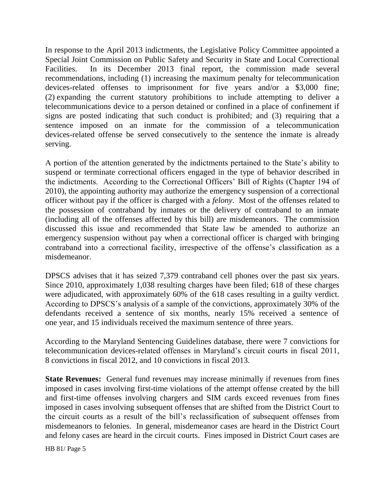In response to the April 2013 indictments, the Legislative Policy Committee appointed a Special Joint Commission on Public Safety and Security in State and Local Correctional Facilities. In its December 2013 final report, the commission made several recommendations, including (1) increasing the maximum penalty for telecommunication devices-related offenses to imprisonment for five years and/or a \$3,000 fine; (2) expanding the current statutory prohibitions to include attempting to deliver a telecommunications device to a person detained or confined in a place of confinement if signs are posted indicating that such conduct is prohibited; and (3) requiring that a sentence imposed on an inmate for the commission of a telecommunication devices-related offense be served consecutively to the sentence the inmate is already serving.

A portion of the attention generated by the indictments pertained to the State's ability to suspend or terminate correctional officers engaged in the type of behavior described in the indictments. According to the Correctional Officers' Bill of Rights (Chapter 194 of 2010), the appointing authority may authorize the emergency suspension of a correctional officer without pay if the officer is charged with a *felony*. Most of the offenses related to the possession of contraband by inmates or the delivery of contraband to an inmate (including all of the offenses affected by this bill) are misdemeanors. The commission discussed this issue and recommended that State law be amended to authorize an emergency suspension without pay when a correctional officer is charged with bringing contraband into a correctional facility, irrespective of the offense's classification as a misdemeanor.

DPSCS advises that it has seized 7,379 contraband cell phones over the past six years. Since 2010, approximately 1,038 resulting charges have been filed; 618 of these charges were adjudicated, with approximately 60% of the 618 cases resulting in a guilty verdict. According to DPSCS's analysis of a sample of the convictions, approximately 30% of the defendants received a sentence of six months, nearly 15% received a sentence of one year, and 15 individuals received the maximum sentence of three years.

According to the Maryland Sentencing Guidelines database, there were 7 convictions for telecommunication devices-related offenses in Maryland's circuit courts in fiscal 2011, 8 convictions in fiscal 2012, and 10 convictions in fiscal 2013.

**State Revenues:** General fund revenues may increase minimally if revenues from fines imposed in cases involving first-time violations of the attempt offense created by the bill and first-time offenses involving chargers and SIM cards exceed revenues from fines imposed in cases involving subsequent offenses that are shifted from the District Court to the circuit courts as a result of the bill's reclassification of subsequent offenses from misdemeanors to felonies. In general, misdemeanor cases are heard in the District Court and felony cases are heard in the circuit courts. Fines imposed in District Court cases are

HB 81/ Page 5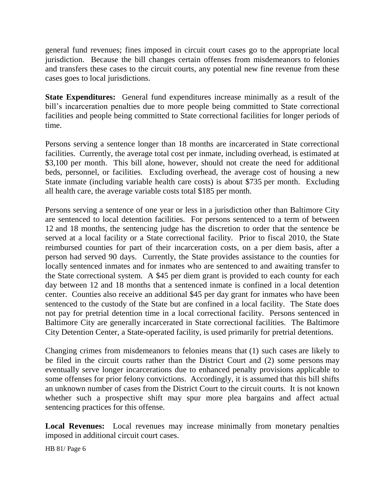general fund revenues; fines imposed in circuit court cases go to the appropriate local jurisdiction. Because the bill changes certain offenses from misdemeanors to felonies and transfers these cases to the circuit courts, any potential new fine revenue from these cases goes to local jurisdictions.

**State Expenditures:** General fund expenditures increase minimally as a result of the bill's incarceration penalties due to more people being committed to State correctional facilities and people being committed to State correctional facilities for longer periods of time.

Persons serving a sentence longer than 18 months are incarcerated in State correctional facilities. Currently, the average total cost per inmate, including overhead, is estimated at \$3,100 per month. This bill alone, however, should not create the need for additional beds, personnel, or facilities. Excluding overhead, the average cost of housing a new State inmate (including variable health care costs) is about \$735 per month. Excluding all health care, the average variable costs total \$185 per month.

Persons serving a sentence of one year or less in a jurisdiction other than Baltimore City are sentenced to local detention facilities. For persons sentenced to a term of between 12 and 18 months, the sentencing judge has the discretion to order that the sentence be served at a local facility or a State correctional facility. Prior to fiscal 2010, the State reimbursed counties for part of their incarceration costs, on a per diem basis, after a person had served 90 days. Currently, the State provides assistance to the counties for locally sentenced inmates and for inmates who are sentenced to and awaiting transfer to the State correctional system. A \$45 per diem grant is provided to each county for each day between 12 and 18 months that a sentenced inmate is confined in a local detention center. Counties also receive an additional \$45 per day grant for inmates who have been sentenced to the custody of the State but are confined in a local facility. The State does not pay for pretrial detention time in a local correctional facility. Persons sentenced in Baltimore City are generally incarcerated in State correctional facilities. The Baltimore City Detention Center, a State-operated facility, is used primarily for pretrial detentions.

Changing crimes from misdemeanors to felonies means that (1) such cases are likely to be filed in the circuit courts rather than the District Court and (2) some persons may eventually serve longer incarcerations due to enhanced penalty provisions applicable to some offenses for prior felony convictions. Accordingly, it is assumed that this bill shifts an unknown number of cases from the District Court to the circuit courts. It is not known whether such a prospective shift may spur more plea bargains and affect actual sentencing practices for this offense.

**Local Revenues:** Local revenues may increase minimally from monetary penalties imposed in additional circuit court cases.

HB 81/ Page 6